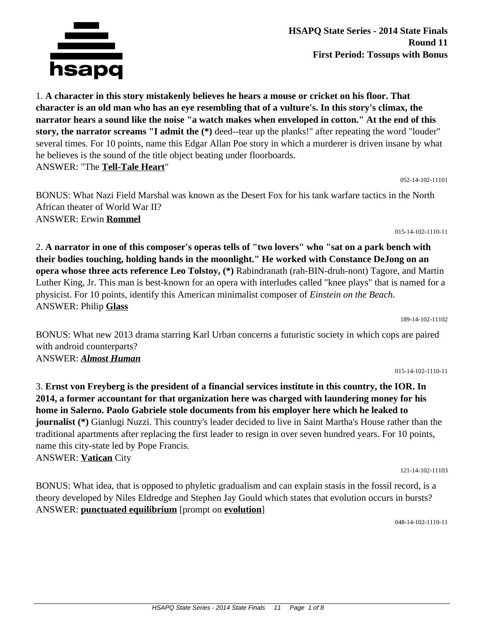

**HSAPQ State Series - 2014 State Finals Round 11 First Period: Tossups with Bonus**

1. **A character in this story mistakenly believes he hears a mouse or cricket on his floor. That character is an old man who has an eye resembling that of a vulture's. In this story's climax, the narrator hears a sound like the noise "a watch makes when enveloped in cotton." At the end of this story, the narrator screams "I admit the (\*)** deed--tear up the planks!" after repeating the word "louder" several times. For 10 points, name this Edgar Allan Poe story in which a murderer is driven insane by what he believes is the sound of the title object beating under floorboards. ANSWER: "The **Tell-Tale Heart**"

052-14-102-11101

BONUS: What Nazi Field Marshal was known as the Desert Fox for his tank warfare tactics in the North African theater of World War II? ANSWER: Erwin **Rommel**

2. **A narrator in one of this composer's operas tells of "two lovers" who "sat on a park bench with their bodies touching, holding hands in the moonlight." He worked with Constance DeJong on an opera whose three acts reference Leo Tolstoy, (\*)** Rabindranath (rah-BIN-druh-nont) Tagore, and Martin Luther King, Jr. This man is best-known for an opera with interludes called "knee plays" that is named for a physicist. For 10 points, identify this American minimalist composer of *Einstein on the Beach.* ANSWER: Philip **Glass**

189-14-102-11102

BONUS: What new 2013 drama starring Karl Urban concerns a futuristic society in which cops are paired with android counterparts? ANSWER: *Almost Human*

3. **Ernst von Freyberg is the president of a financial services institute in this country, the IOR. In 2014, a former accountant for that organization here was charged with laundering money for his home in Salerno. Paolo Gabriele stole documents from his employer here which he leaked to**

015-14-102-1110-11

**journalist (\*)** Gianlugi Nuzzi. This country's leader decided to live in Saint Martha's House rather than the traditional apartments after replacing the first leader to resign in over seven hundred years. For 10 points, name this city-state led by Pope Francis. ANSWER: **Vatican** City 121-14-102-11103

BONUS: What idea, that is opposed to phyletic gradualism and can explain stasis in the fossil record, is a theory developed by Niles Eldredge and Stephen Jay Gould which states that evolution occurs in bursts? ANSWER: **punctuated equilibrium** [prompt on **evolution**]

048-14-102-1110-11

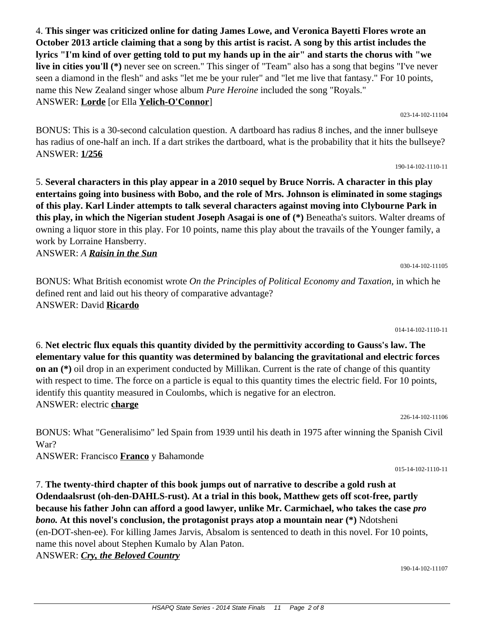4. **This singer was criticized online for dating James Lowe, and Veronica Bayetti Flores wrote an October 2013 article claiming that a song by this artist is racist. A song by this artist includes the lyrics "I'm kind of over getting told to put my hands up in the air" and starts the chorus with "we live in cities you'll (\*)** never see on screen." This singer of "Team" also has a song that begins "I've never seen a diamond in the flesh" and asks "let me be your ruler" and "let me live that fantasy." For 10 points, name this New Zealand singer whose album *Pure Heroine* included the song "Royals." ANSWER: **Lorde** [or Ella **Yelich-O'Connor**]

023-14-102-11104

190-14-102-1110-11

BONUS: This is a 30-second calculation question. A dartboard has radius 8 inches, and the inner bullseye has radius of one-half an inch. If a dart strikes the dartboard, what is the probability that it hits the bullseye? ANSWER: **1/256**

5. **Several characters in this play appear in a 2010 sequel by Bruce Norris. A character in this play entertains going into business with Bobo, and the role of Mrs. Johnson is eliminated in some stagings of this play. Karl Linder attempts to talk several characters against moving into Clybourne Park in this play, in which the Nigerian student Joseph Asagai is one of (\*)** Beneatha's suitors. Walter dreams of owning a liquor store in this play. For 10 points, name this play about the travails of the Younger family, a work by Lorraine Hansberry.

ANSWER: *A Raisin in the Sun*

BONUS: What British economist wrote *On the Principles of Political Economy and Taxation,* in which he defined rent and laid out his theory of comparative advantage? ANSWER: David **Ricardo**

014-14-102-1110-11

030-14-102-11105

6. **Net electric flux equals this quantity divided by the permittivity according to Gauss's law. The elementary value for this quantity was determined by balancing the gravitational and electric forces on an (\*)** oil drop in an experiment conducted by Millikan. Current is the rate of change of this quantity with respect to time. The force on a particle is equal to this quantity times the electric field. For 10 points, identify this quantity measured in Coulombs, which is negative for an electron. ANSWER: electric **charge**

226-14-102-11106

BONUS: What "Generalisimo" led Spain from 1939 until his death in 1975 after winning the Spanish Civil War?

ANSWER: Francisco **Franco** y Bahamonde

7. **The twenty-third chapter of this book jumps out of narrative to describe a gold rush at Odendaalsrust (oh-den-DAHLS-rust). At a trial in this book, Matthew gets off scot-free, partly because his father John can afford a good lawyer, unlike Mr. Carmichael, who takes the case** *pro bono.* **At this novel's conclusion, the protagonist prays atop a mountain near (\*)** Ndotsheni (en-DOT-shen-ee). For killing James Jarvis, Absalom is sentenced to death in this novel. For 10 points, name this novel about Stephen Kumalo by Alan Paton.

ANSWER: *Cry, the Beloved Country*

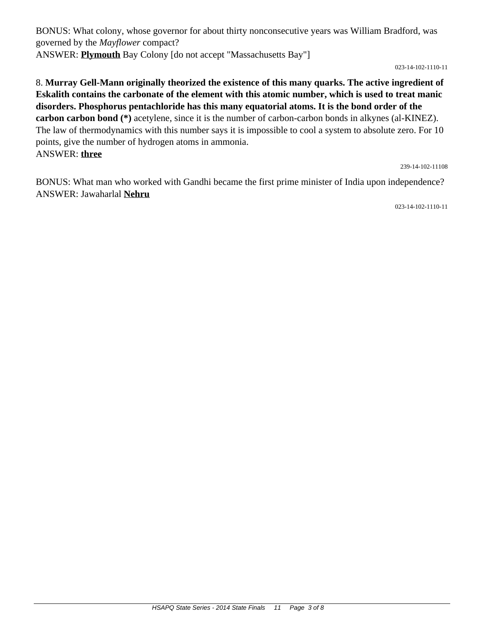BONUS: What colony, whose governor for about thirty nonconsecutive years was William Bradford, was governed by the *Mayflower* compact? ANSWER: **Plymouth** Bay Colony [do not accept "Massachusetts Bay"]

023-14-102-1110-11

8. **Murray Gell-Mann originally theorized the existence of this many quarks. The active ingredient of Eskalith contains the carbonate of the element with this atomic number, which is used to treat manic disorders. Phosphorus pentachloride has this many equatorial atoms. It is the bond order of the carbon carbon bond (\*)** acetylene, since it is the number of carbon-carbon bonds in alkynes (al-KINEZ). The law of thermodynamics with this number says it is impossible to cool a system to absolute zero. For 10 points, give the number of hydrogen atoms in ammonia. ANSWER: **three**

239-14-102-11108

BONUS: What man who worked with Gandhi became the first prime minister of India upon independence? ANSWER: Jawaharlal **Nehru**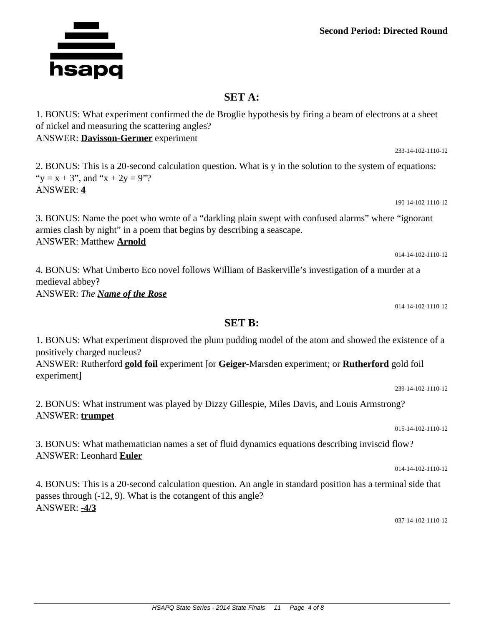## **Second Period: Directed Round**

## **SET A:**

1. BONUS: What experiment confirmed the de Broglie hypothesis by firing a beam of electrons at a sheet of nickel and measuring the scattering angles? ANSWER: **Davisson-Germer** experiment

2. BONUS: This is a 20-second calculation question. What is y in the solution to the system of equations: " $y = x + 3$ ", and " $x + 2y = 9$ "? ANSWER: **4**

3. BONUS: Name the poet who wrote of a "darkling plain swept with confused alarms" where "ignorant armies clash by night" in a poem that begins by describing a seascape. ANSWER: Matthew **Arnold**

4. BONUS: What Umberto Eco novel follows William of Baskerville's investigation of a murder at a medieval abbey? ANSWER: *The Name of the Rose*

014-14-102-1110-12

239-14-102-1110-12

015-14-102-1110-12

014-14-102-1110-12

014-14-102-1110-12

## **SET B:**

1. BONUS: What experiment disproved the plum pudding model of the atom and showed the existence of a positively charged nucleus?

ANSWER: Rutherford **gold foil** experiment [or **Geiger**-Marsden experiment; or **Rutherford** gold foil experiment]

2. BONUS: What instrument was played by Dizzy Gillespie, Miles Davis, and Louis Armstrong? ANSWER: **trumpet**

3. BONUS: What mathematician names a set of fluid dynamics equations describing inviscid flow? ANSWER: Leonhard **Euler**

4. BONUS: This is a 20-second calculation question. An angle in standard position has a terminal side that passes through (-12, 9). What is the cotangent of this angle? ANSWER: **-4/3**

037-14-102-1110-12



233-14-102-1110-12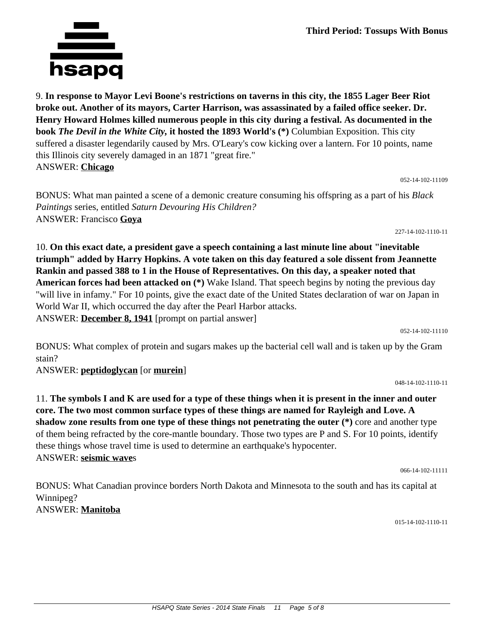9. **In response to Mayor Levi Boone's restrictions on taverns in this city, the 1855 Lager Beer Riot broke out. Another of its mayors, Carter Harrison, was assassinated by a failed office seeker. Dr. Henry Howard Holmes killed numerous people in this city during a festival. As documented in the book** *The Devil in the White City,* **it hosted the 1893 World's (\*)** Columbian Exposition. This city suffered a disaster legendarily caused by Mrs. O'Leary's cow kicking over a lantern. For 10 points, name this Illinois city severely damaged in an 1871 "great fire." ANSWER: **Chicago**

BONUS: What man painted a scene of a demonic creature consuming his offspring as a part of his *Black Paintings* series, entitled *Saturn Devouring His Children?* ANSWER: Francisco **Goya**

10. **On this exact date, a president gave a speech containing a last minute line about "inevitable triumph" added by Harry Hopkins. A vote taken on this day featured a sole dissent from Jeannette Rankin and passed 388 to 1 in the House of Representatives. On this day, a speaker noted that American forces had been attacked on (\*)** Wake Island. That speech begins by noting the previous day "will live in infamy." For 10 points, give the exact date of the United States declaration of war on Japan in World War II, which occurred the day after the Pearl Harbor attacks. ANSWER: **December 8, 1941** [prompt on partial answer]

052-14-102-11110

BONUS: What complex of protein and sugars makes up the bacterial cell wall and is taken up by the Gram stain?

ANSWER: **peptidoglycan** [or **murein**]

11. **The symbols I and K are used for a type of these things when it is present in the inner and outer core. The two most common surface types of these things are named for Rayleigh and Love. A shadow zone results from one type of these things not penetrating the outer (\*)** core and another type of them being refracted by the core-mantle boundary. Those two types are P and S. For 10 points, identify these things whose travel time is used to determine an earthquake's hypocenter. ANSWER: **seismic wave**s

066-14-102-11111

BONUS: What Canadian province borders North Dakota and Minnesota to the south and has its capital at Winnipeg? ANSWER: **Manitoba**

015-14-102-1110-11



052-14-102-11109

227-14-102-1110-11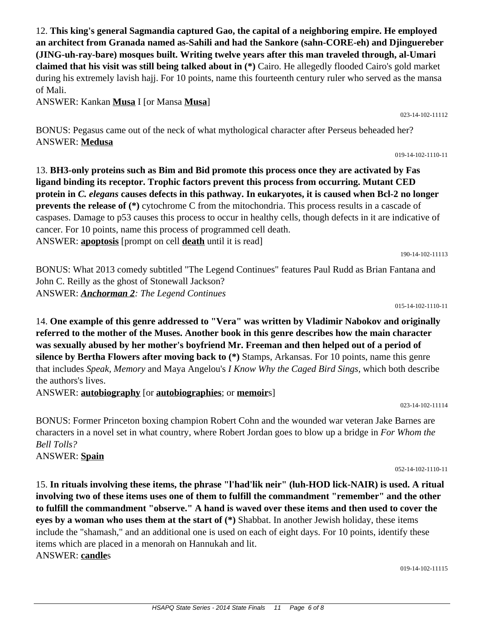12. **This king's general Sagmandia captured Gao, the capital of a neighboring empire. He employed an architect from Granada named as-Sahili and had the Sankore (sahn-CORE-eh) and Djinguereber (JING-uh-ray-bare) mosques built. Writing twelve years after this man traveled through, al-Umari claimed that his visit was still being talked about in (\*)** Cairo. He allegedly flooded Cairo's gold market during his extremely lavish hajj. For 10 points, name this fourteenth century ruler who served as the mansa of Mali.

ANSWER: Kankan **Musa** I [or Mansa **Musa**]

BONUS: Pegasus came out of the neck of what mythological character after Perseus beheaded her? ANSWER: **Medusa**

13. **BH3-only proteins such as Bim and Bid promote this process once they are activated by Fas ligand binding its receptor. Trophic factors prevent this process from occurring. Mutant CED protein in** *C. elegans* **causes defects in this pathway. In eukaryotes, it is caused when Bcl-2 no longer prevents the release of (\*)** cytochrome C from the mitochondria. This process results in a cascade of caspases. Damage to p53 causes this process to occur in healthy cells, though defects in it are indicative of cancer. For 10 points, name this process of programmed cell death. ANSWER: **apoptosis** [prompt on cell **death** until it is read]

190-14-102-11113

BONUS: What 2013 comedy subtitled "The Legend Continues" features Paul Rudd as Brian Fantana and John C. Reilly as the ghost of Stonewall Jackson? ANSWER: *Anchorman 2: The Legend Continues*

015-14-102-1110-11

14. **One example of this genre addressed to "Vera" was written by Vladimir Nabokov and originally referred to the mother of the Muses. Another book in this genre describes how the main character was sexually abused by her mother's boyfriend Mr. Freeman and then helped out of a period of silence by Bertha Flowers after moving back to (\*)** Stamps, Arkansas. For 10 points, name this genre that includes *Speak, Memory* and Maya Angelou's *I Know Why the Caged Bird Sings,* which both describe the authors's lives.

ANSWER: **autobiography** [or **autobiographies**; or **memoir**s]

023-14-102-11114

BONUS: Former Princeton boxing champion Robert Cohn and the wounded war veteran Jake Barnes are characters in a novel set in what country, where Robert Jordan goes to blow up a bridge in *For Whom the Bell Tolls?* ANSWER: **Spain**

052-14-102-1110-11

15. **In rituals involving these items, the phrase "l'had'lik neir" (luh-HOD lick-NAIR) is used. A ritual involving two of these items uses one of them to fulfill the commandment "remember" and the other to fulfill the commandment "observe." A hand is waved over these items and then used to cover the eyes by a woman who uses them at the start of (\*)** Shabbat. In another Jewish holiday, these items include the "shamash," and an additional one is used on each of eight days. For 10 points, identify these items which are placed in a menorah on Hannukah and lit. ANSWER: **candle**s

019-14-102-11115

023-14-102-11112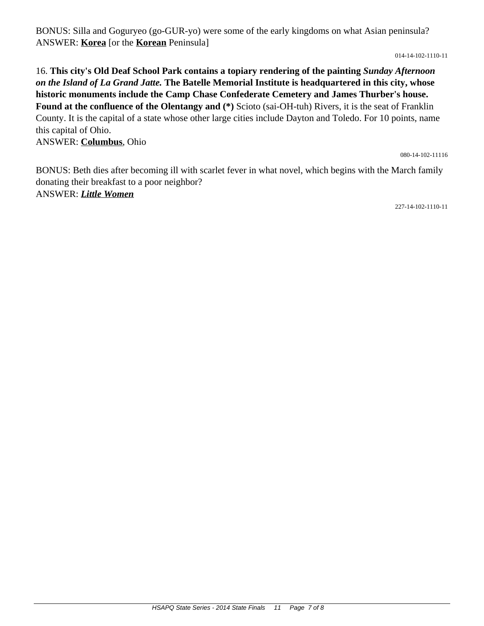BONUS: Silla and Goguryeo (go-GUR-yo) were some of the early kingdoms on what Asian peninsula? ANSWER: **Korea** [or the **Korean** Peninsula]

014-14-102-1110-11

16. **This city's Old Deaf School Park contains a topiary rendering of the painting** *Sunday Afternoon on the Island of La Grand Jatte.* **The Batelle Memorial Institute is headquartered in this city, whose historic monuments include the Camp Chase Confederate Cemetery and James Thurber's house. Found at the confluence of the Olentangy and (\*)** Scioto (sai-OH-tuh) Rivers, it is the seat of Franklin County. It is the capital of a state whose other large cities include Dayton and Toledo. For 10 points, name this capital of Ohio. ANSWER: **Columbus**, Ohio

080-14-102-11116

BONUS: Beth dies after becoming ill with scarlet fever in what novel, which begins with the March family donating their breakfast to a poor neighbor? ANSWER: *Little Women*